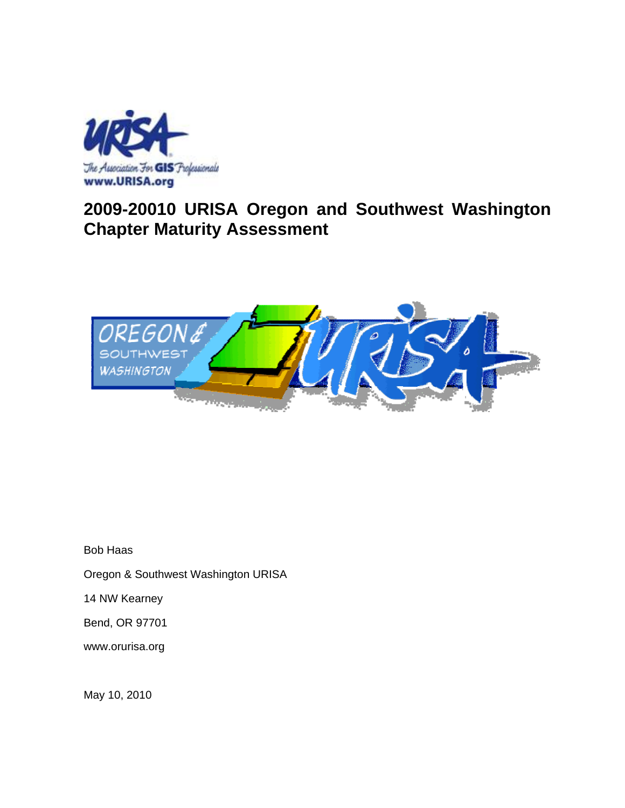

# **2009-20010 URISA Oregon and Southwest Washington Chapter Maturity Assessment**



Bob Haas

Oregon & Southwest Washington URISA

14 NW Kearney

Bend, OR 97701

www.orurisa.org

May 10, 2010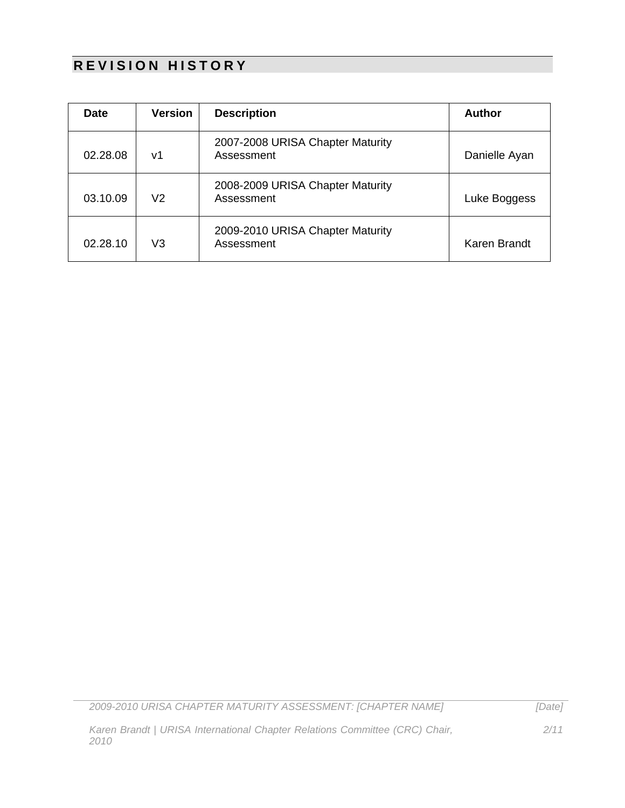## **REVISION HISTORY**

| <b>Date</b> | <b>Version</b> | <b>Description</b>                             | <b>Author</b> |
|-------------|----------------|------------------------------------------------|---------------|
| 02.28.08    | v1             | 2007-2008 URISA Chapter Maturity<br>Assessment | Danielle Ayan |
| 03.10.09    | V <sub>2</sub> | 2008-2009 URISA Chapter Maturity<br>Assessment | Luke Boggess  |
| 02.28.10    | V3             | 2009-2010 URISA Chapter Maturity<br>Assessment | Karen Brandt  |

*2009-2010 URISA CHAPTER MATURITY ASSESSMENT: [CHAPTER NAME]*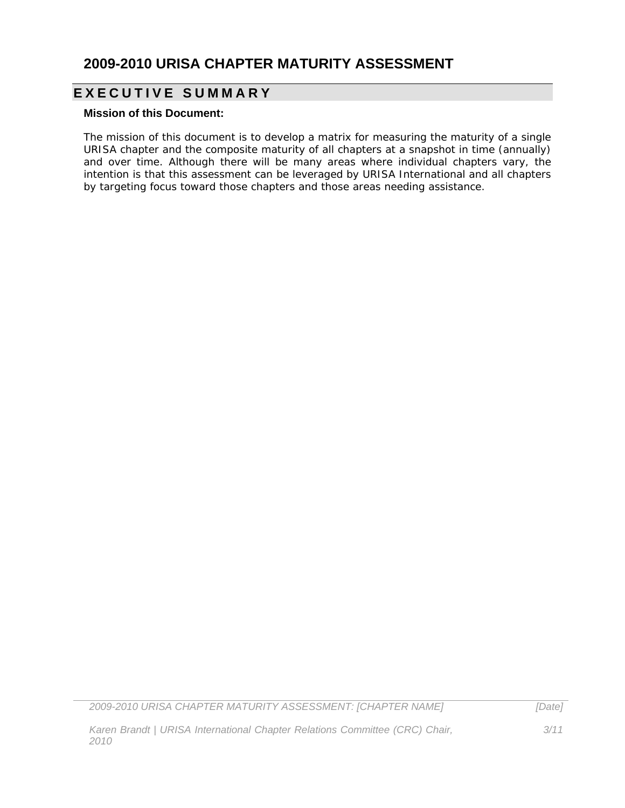#### **2009-2010 URISA CHAPTER MATURITY ASSESSMENT**

### **EXECUTIVE SUMMARY**

#### **Mission of this Document:**

The mission of this document is to develop a matrix for measuring the maturity of a single URISA chapter and the composite maturity of all chapters at a snapshot in time (annually) and over time. Although there will be many areas where individual chapters vary, the intention is that this assessment can be leveraged by URISA International and all chapters by targeting focus toward those chapters and those areas needing assistance.

*2009-2010 URISA CHAPTER MATURITY ASSESSMENT: [CHAPTER NAME]*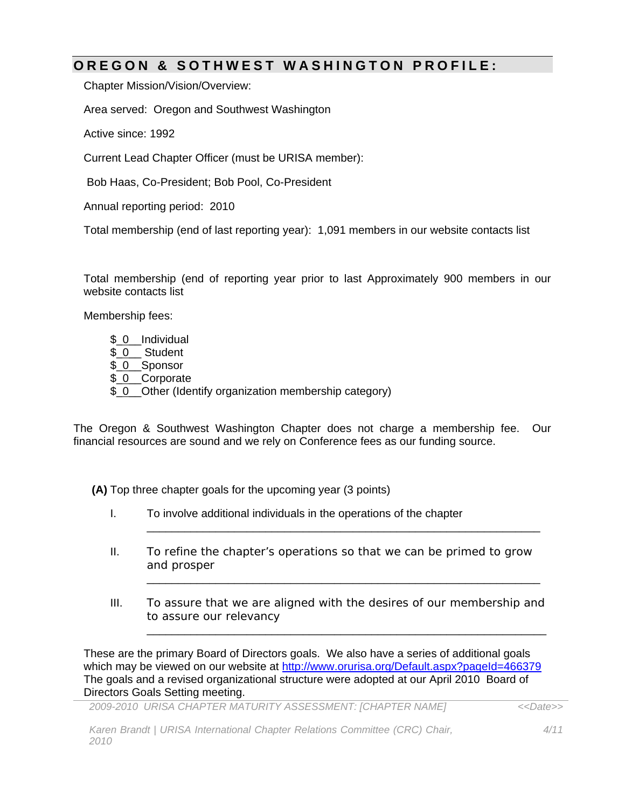#### **OREGON & SOTHWEST WA SHINGTON PROFILE:**

Chapter Mission/Vision/Overview:

Area served: Oregon and Southwest Washington

Active since: 1992

Current Lead Chapter Officer (must be URISA member):

Bob Haas, Co-President; Bob Pool, Co-President

Annual reporting period: 2010

Total membership (end of last reporting year): 1,091 members in our website contacts list

Total membership (end of reporting year prior to last Approximately 900 members in our website contacts list

Membership fees:

 $$0$  Individual \$ 0 Student \$ 0\_Sponsor \$<u>0</u>\_Corporate \$\_0\_\_Other (Identify organization membership category)

The Oregon & Southwest Washington Chapter does not charge a membership fee. Our financial resources are sound and we rely on Conference fees as our funding source.

**(A)** Top three chapter goals for the upcoming year (3 points)

- I. To involve additional individuals in the operations of the chapter
- II. To refine the chapter's operations so that we can be primed to grow and prosper

\_\_\_\_\_\_\_\_\_\_\_\_\_\_\_\_\_\_\_\_\_\_\_\_\_\_\_\_\_\_\_\_\_\_\_\_\_\_\_\_\_\_\_\_\_\_\_\_\_\_\_\_\_\_\_\_\_\_\_\_\_\_\_

\_\_\_\_\_\_\_\_\_\_\_\_\_\_\_\_\_\_\_\_\_\_\_\_\_\_\_\_\_\_\_\_\_\_\_\_\_\_\_\_\_\_\_\_\_\_\_\_\_\_\_\_\_\_\_\_\_\_\_\_\_\_\_

\_\_\_\_\_\_\_\_\_\_\_\_\_\_\_\_\_\_\_\_\_\_\_\_\_\_\_\_\_\_\_\_\_\_\_\_\_\_\_\_\_\_\_\_\_\_\_\_\_\_\_\_\_\_\_\_\_\_\_\_\_\_\_\_

III. To assure that we are aligned with the desires of our membership and to assure our relevancy

These are the primary Board of Directors goals. We also have a series of additional goals which may be viewed on our website at http://www.orurisa.org/Default.aspx?pageId=466379 The goals and a revised organizational structure were adopted at our April 2010 Board of Directors Goals Setting meeting.

*2009-2010 URISA CHAPTER MATURITY ASSESSMENT: [CHAPTER NAME]*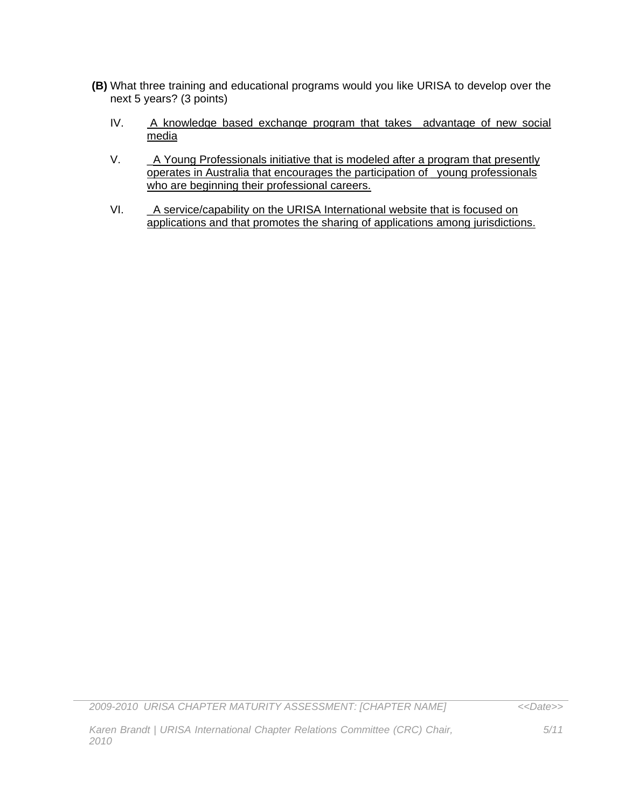- **(B)** What three training and educational programs would you like URISA to develop over the next 5 years? (3 points)
	- IV. A knowledge based exchange program that takes advantage of new social media
	- V. A Young Professionals initiative that is modeled after a program that presently operates in Australia that encourages the participation of \_young professionals who are beginning their professional careers.
	- VI. \_A service/capability on the URISA International website that is focused on applications and that promotes the sharing of applications among jurisdictions.

*2009-2010 URISA CHAPTER MATURITY ASSESSMENT: [CHAPTER NAME]*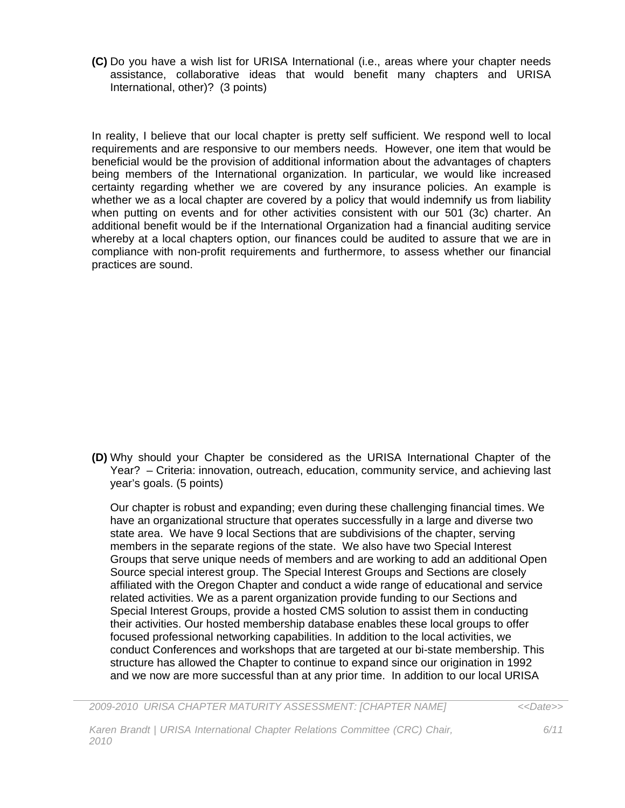**(C)** Do you have a wish list for URISA International (i.e., areas where your chapter needs assistance, collaborative ideas that would benefit many chapters and URISA International, other)? (3 points)

In reality, I believe that our local chapter is pretty self sufficient. We respond well to local requirements and are responsive to our members needs. However, one item that would be beneficial would be the provision of additional information about the advantages of chapters being members of the International organization. In particular, we would like increased certainty regarding whether we are covered by any insurance policies. An example is whether we as a local chapter are covered by a policy that would indemnify us from liability when putting on events and for other activities consistent with our 501 (3c) charter. An additional benefit would be if the International Organization had a financial auditing service whereby at a local chapters option, our finances could be audited to assure that we are in compliance with non-profit requirements and furthermore, to assess whether our financial practices are sound.

**(D)** Why should your Chapter be considered as the URISA International Chapter of the Year? – Criteria: innovation, outreach, education, community service, and achieving last year's goals. (5 points)

Our chapter is robust and expanding; even during these challenging financial times. We have an organizational structure that operates successfully in a large and diverse two state area. We have 9 local Sections that are subdivisions of the chapter, serving members in the separate regions of the state. We also have two Special Interest Groups that serve unique needs of members and are working to add an additional Open Source special interest group. The Special Interest Groups and Sections are closely affiliated with the Oregon Chapter and conduct a wide range of educational and service related activities. We as a parent organization provide funding to our Sections and Special Interest Groups, provide a hosted CMS solution to assist them in conducting their activities. Our hosted membership database enables these local groups to offer focused professional networking capabilities. In addition to the local activities, we conduct Conferences and workshops that are targeted at our bi-state membership. This structure has allowed the Chapter to continue to expand since our origination in 1992 and we now are more successful than at any prior time. In addition to our local URISA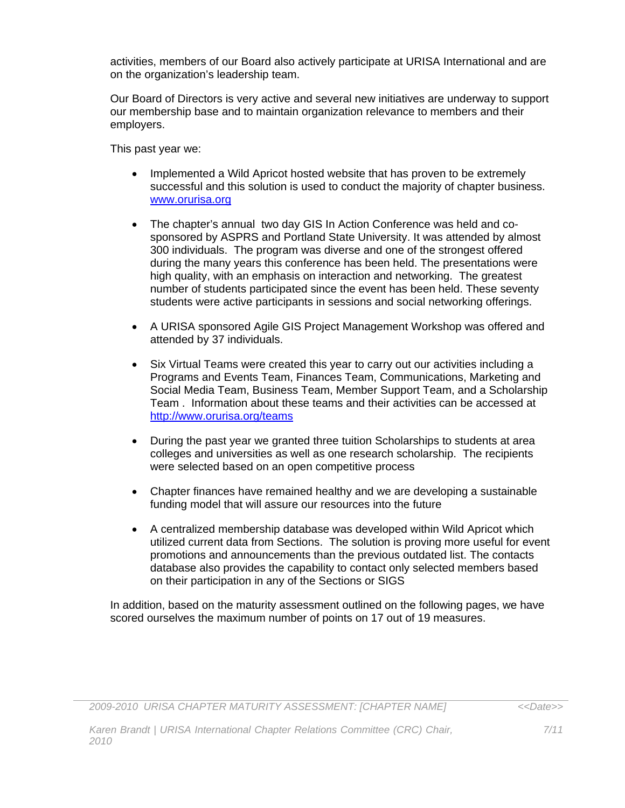activities, members of our Board also actively participate at URISA International and are on the organization's leadership team.

Our Board of Directors is very active and several new initiatives are underway to support our membership base and to maintain organization relevance to members and their employers.

This past year we:

*2010*

- Implemented a Wild Apricot hosted website that has proven to be extremely successful and this solution is used to conduct the majority of chapter business. www.orurisa.org
- The chapter's annual two day GIS In Action Conference was held and cosponsored by ASPRS and Portland State University. It was attended by almost 300 individuals. The program was diverse and one of the strongest offered during the many years this conference has been held. The presentations were high quality, with an emphasis on interaction and networking. The greatest number of students participated since the event has been held. These seventy students were active participants in sessions and social networking offerings.
- A URISA sponsored Agile GIS Project Management Workshop was offered and attended by 37 individuals.
- Six Virtual Teams were created this year to carry out our activities including a Programs and Events Team, Finances Team, Communications, Marketing and Social Media Team, Business Team, Member Support Team, and a Scholarship Team . Information about these teams and their activities can be accessed at http://www.orurisa.org/teams
- During the past year we granted three tuition Scholarships to students at area colleges and universities as well as one research scholarship. The recipients were selected based on an open competitive process
- Chapter finances have remained healthy and we are developing a sustainable funding model that will assure our resources into the future
- A centralized membership database was developed within Wild Apricot which utilized current data from Sections. The solution is proving more useful for event promotions and announcements than the previous outdated list. The contacts database also provides the capability to contact only selected members based on their participation in any of the Sections or SIGS

In addition, based on the maturity assessment outlined on the following pages, we have scored ourselves the maximum number of points on 17 out of 19 measures.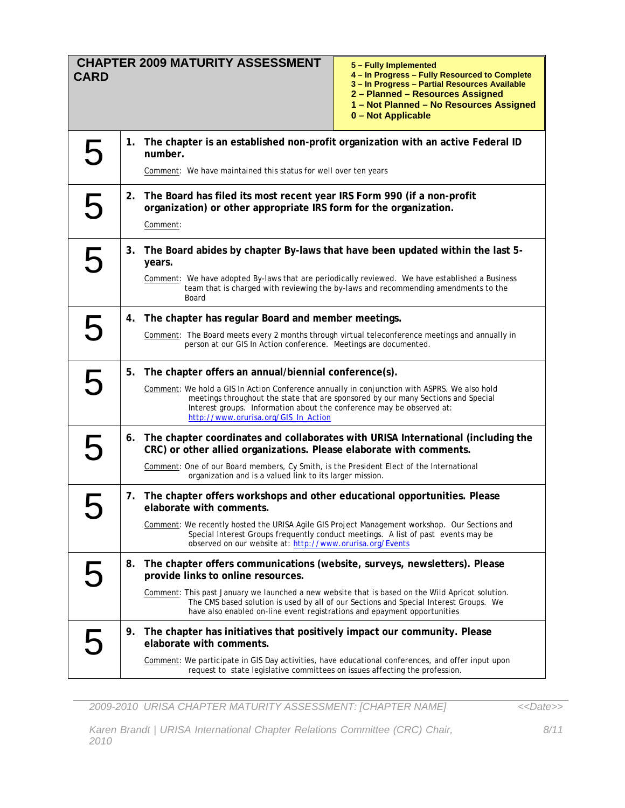| <b>CARD</b> |    | <b>CHAPTER 2009 MATURITY ASSESSMENT</b>                                                                                                                                                                                                                                                                                                                                                  | 5 – Fully Implemented<br>4 - In Progress - Fully Resourced to Complete<br>3 - In Progress - Partial Resources Available<br>2 - Planned - Resources Assigned<br>1 - Not Planned - No Resources Assigned<br>0 – Not Applicable |  |  |  |
|-------------|----|------------------------------------------------------------------------------------------------------------------------------------------------------------------------------------------------------------------------------------------------------------------------------------------------------------------------------------------------------------------------------------------|------------------------------------------------------------------------------------------------------------------------------------------------------------------------------------------------------------------------------|--|--|--|
| 5           | 1. | The chapter is an established non-profit organization with an active Federal ID<br>number.<br>Comment: We have maintained this status for well over ten years                                                                                                                                                                                                                            |                                                                                                                                                                                                                              |  |  |  |
| 5           | 2. | The Board has filed its most recent year IRS Form 990 (if a non-profit<br>organization) or other appropriate IRS form for the organization.<br>Comment:                                                                                                                                                                                                                                  |                                                                                                                                                                                                                              |  |  |  |
| 5           | 3. | The Board abides by chapter By-laws that have been updated within the last 5-<br>years.<br>Comment: We have adopted By-laws that are periodically reviewed. We have established a Business<br>team that is charged with reviewing the by-laws and recommending amendments to the<br>Board                                                                                                |                                                                                                                                                                                                                              |  |  |  |
| 5           | 4. | The chapter has regular Board and member meetings.<br>Comment: The Board meets every 2 months through virtual teleconference meetings and annually in<br>person at our GIS In Action conference. Meetings are documented.                                                                                                                                                                |                                                                                                                                                                                                                              |  |  |  |
| 5           |    | 5. The chapter offers an annual/biennial conference(s).<br>Comment: We hold a GIS In Action Conference annually in conjunction with ASPRS. We also hold<br>meetings throughout the state that are sponsored by our many Sections and Special<br>Interest groups. Information about the conference may be observed at:<br>http://www.orurisa.org/GIS_In_Action                            |                                                                                                                                                                                                                              |  |  |  |
| 5           | 6. | The chapter coordinates and collaborates with URISA International (including the<br>CRC) or other allied organizations. Please elaborate with comments.<br>Comment: One of our Board members, Cy Smith, is the President Elect of the International<br>organization and is a valued link to its larger mission.                                                                          |                                                                                                                                                                                                                              |  |  |  |
|             |    | 7. The chapter offers workshops and other educational opportunities. Please<br>elaborate with comments.<br>Comment: We recently hosted the URISA Agile GIS Project Management workshop. Our Sections and<br>Special Interest Groups frequently conduct meetings. A list of past events may be<br>observed on our website at: http://www.orurisa.org/Events                               |                                                                                                                                                                                                                              |  |  |  |
|             | 8. | The chapter offers communications (website, surveys, newsletters). Please<br>provide links to online resources.<br>Comment: This past January we launched a new website that is based on the Wild Apricot solution.<br>The CMS based solution is used by all of our Sections and Special Interest Groups. We<br>have also enabled on-line event registrations and epayment opportunities |                                                                                                                                                                                                                              |  |  |  |
|             | 9. | The chapter has initiatives that positively impact our community. Please<br>elaborate with comments.<br>Comment: We participate in GIS Day activities, have educational conferences, and offer input upon<br>request to state legislative committees on issues affecting the profession.                                                                                                 |                                                                                                                                                                                                                              |  |  |  |

*2009-2010 URISA CHAPTER MATURITY ASSESSMENT: [CHAPTER NAME]* 

*Karen Brandt | URISA International Chapter Relations Committee (CRC) Chair, 2010*

*8/11*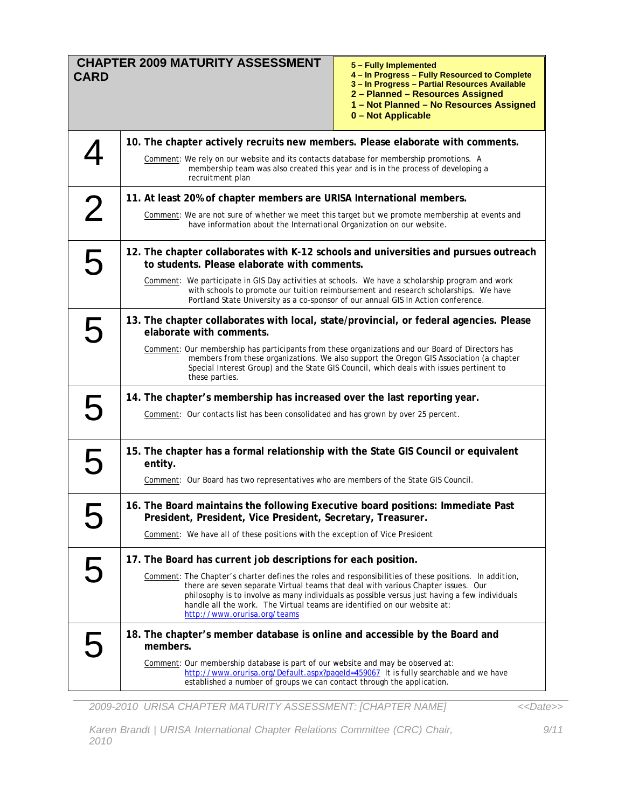| <b>CARD</b>    | <b>CHAPTER 2009 MATURITY ASSESSMENT</b><br>5 - Fully Implemented<br>4 - In Progress - Fully Resourced to Complete<br>3 - In Progress - Partial Resources Available<br>2 - Planned - Resources Assigned<br>1 - Not Planned - No Resources Assigned<br>0 - Not Applicable                                                                                                                                  |  |  |  |
|----------------|----------------------------------------------------------------------------------------------------------------------------------------------------------------------------------------------------------------------------------------------------------------------------------------------------------------------------------------------------------------------------------------------------------|--|--|--|
|                | 10. The chapter actively recruits new members. Please elaborate with comments.                                                                                                                                                                                                                                                                                                                           |  |  |  |
|                | Comment: We rely on our website and its contacts database for membership promotions. A<br>membership team was also created this year and is in the process of developing a<br>recruitment plan                                                                                                                                                                                                           |  |  |  |
|                | 11. At least 20% of chapter members are URISA International members.                                                                                                                                                                                                                                                                                                                                     |  |  |  |
| $\overline{2}$ | Comment: We are not sure of whether we meet this target but we promote membership at events and<br>have information about the International Organization on our website.                                                                                                                                                                                                                                 |  |  |  |
| 5              | 12. The chapter collaborates with K-12 schools and universities and pursues outreach<br>to students. Please elaborate with comments.                                                                                                                                                                                                                                                                     |  |  |  |
|                | Comment: We participate in GIS Day activities at schools. We have a scholarship program and work<br>with schools to promote our tuition reimbursement and research scholarships. We have<br>Portland State University as a co-sponsor of our annual GIS In Action conference.                                                                                                                            |  |  |  |
| 5              | 13. The chapter collaborates with local, state/provincial, or federal agencies. Please<br>elaborate with comments.                                                                                                                                                                                                                                                                                       |  |  |  |
|                | Comment: Our membership has participants from these organizations and our Board of Directors has<br>members from these organizations. We also support the Oregon GIS Association (a chapter<br>Special Interest Group) and the State GIS Council, which deals with issues pertinent to<br>these parties.                                                                                                 |  |  |  |
| 5              | 14. The chapter's membership has increased over the last reporting year.                                                                                                                                                                                                                                                                                                                                 |  |  |  |
|                | Comment: Our contacts list has been consolidated and has grown by over 25 percent.                                                                                                                                                                                                                                                                                                                       |  |  |  |
| 5              | 15. The chapter has a formal relationship with the State GIS Council or equivalent<br>entity.                                                                                                                                                                                                                                                                                                            |  |  |  |
|                | Comment: Our Board has two representatives who are members of the State GIS Council.                                                                                                                                                                                                                                                                                                                     |  |  |  |
|                | 16. The Board maintains the following Executive board positions: Immediate Past<br>President, President, Vice President, Secretary, Treasurer.                                                                                                                                                                                                                                                           |  |  |  |
|                | Comment: We have all of these positions with the exception of Vice President                                                                                                                                                                                                                                                                                                                             |  |  |  |
| 5              | 17. The Board has current job descriptions for each position.                                                                                                                                                                                                                                                                                                                                            |  |  |  |
|                | Comment: The Chapter's charter defines the roles and responsibilities of these positions. In addition,<br>there are seven separate Virtual teams that deal with various Chapter issues. Our<br>philosophy is to involve as many individuals as possible versus just having a few individuals<br>handle all the work. The Virtual teams are identified on our website at:<br>http://www.orurisa.org/teams |  |  |  |
| 5              | 18. The chapter's member database is online and accessible by the Board and<br>members.                                                                                                                                                                                                                                                                                                                  |  |  |  |
|                | Comment: Our membership database is part of our website and may be observed at:<br>http://www.orurisa.org/Default.aspx?pageId=459067 It is fully searchable and we have<br>established a number of groups we can contact through the application.                                                                                                                                                        |  |  |  |

*2009-2010 URISA CHAPTER MATURITY ASSESSMENT: [CHAPTER NAME]* 

*Karen Brandt | URISA International Chapter Relations Committee (CRC) Chair, 2010*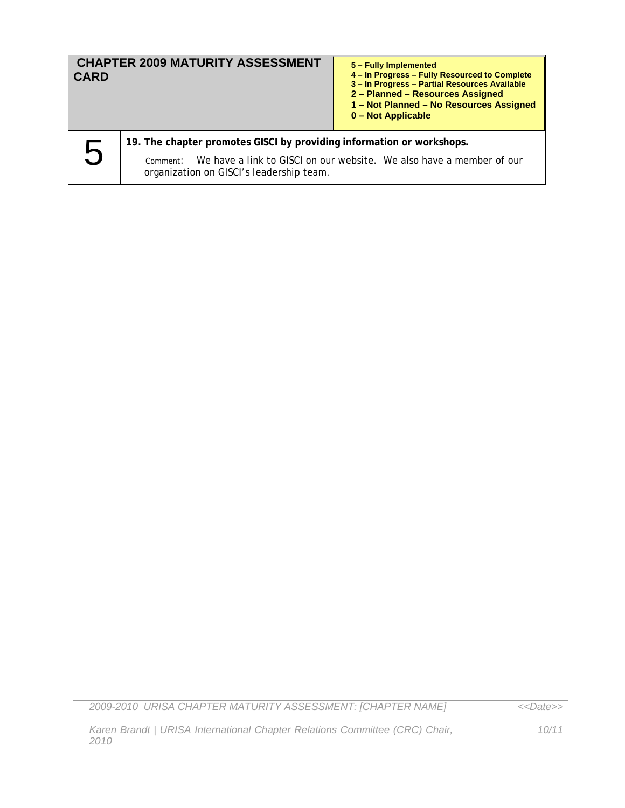| <b>CHAPTER 2009 MATURITY ASSESSMENT</b><br><b>CARD</b> |                                                                                                                           | 5 - Fully Implemented<br>4 - In Progress - Fully Resourced to Complete<br>3 - In Progress - Partial Resources Available<br>2 - Planned - Resources Assigned<br>1 - Not Planned - No Resources Assigned<br>0 - Not Applicable |  |  |  |
|--------------------------------------------------------|---------------------------------------------------------------------------------------------------------------------------|------------------------------------------------------------------------------------------------------------------------------------------------------------------------------------------------------------------------------|--|--|--|
|                                                        | 19. The chapter promotes GISCI by providing information or workshops.                                                     |                                                                                                                                                                                                                              |  |  |  |
| 5                                                      | Comment: We have a link to GISCI on our website. We also have a member of our<br>organization on GISCI's leadership team. |                                                                                                                                                                                                                              |  |  |  |